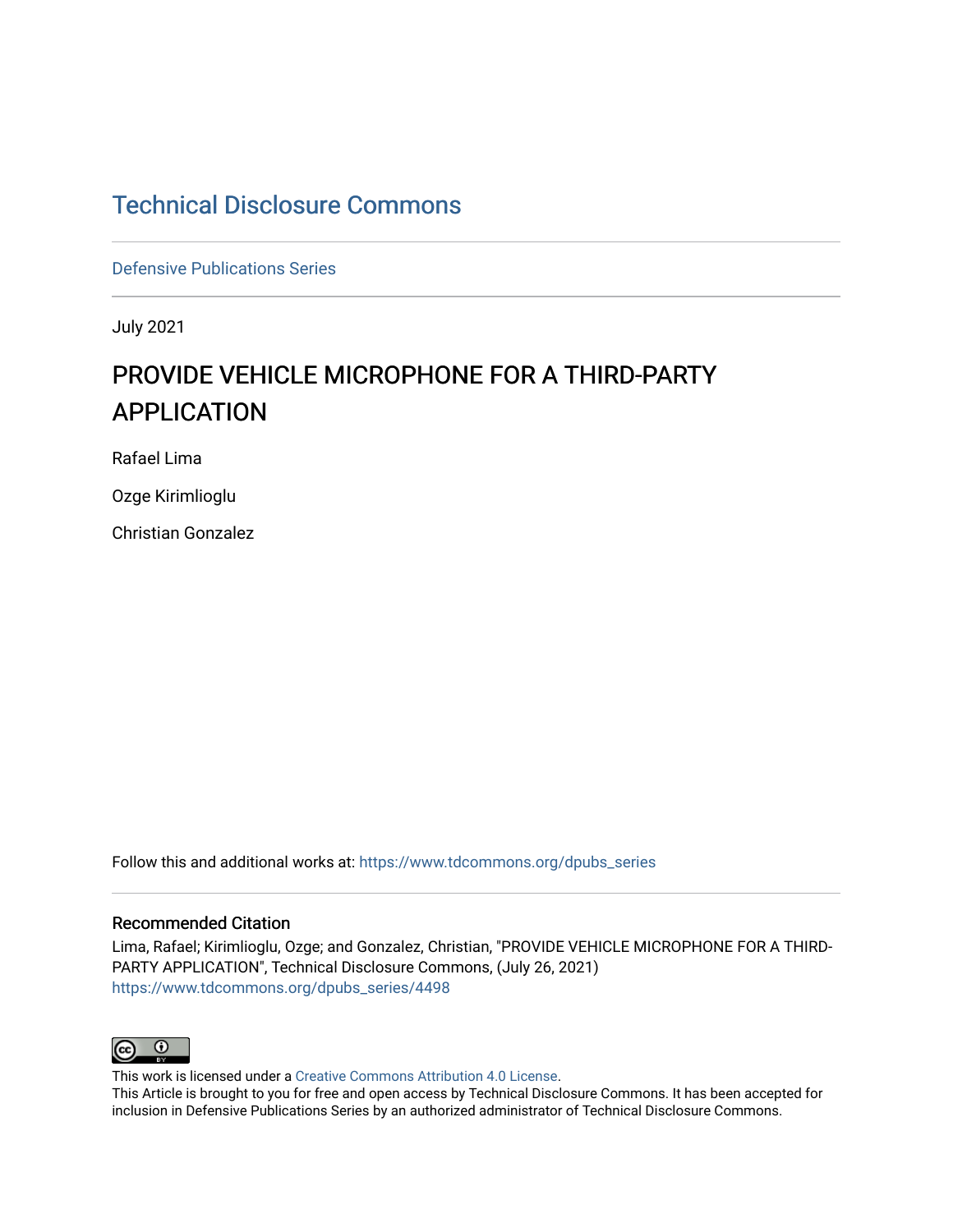## [Technical Disclosure Commons](https://www.tdcommons.org/)

[Defensive Publications Series](https://www.tdcommons.org/dpubs_series)

July 2021

# PROVIDE VEHICLE MICROPHONE FOR A THIRD-PARTY APPLICATION

Rafael Lima

Ozge Kirimlioglu

Christian Gonzalez

Follow this and additional works at: [https://www.tdcommons.org/dpubs\\_series](https://www.tdcommons.org/dpubs_series?utm_source=www.tdcommons.org%2Fdpubs_series%2F4498&utm_medium=PDF&utm_campaign=PDFCoverPages) 

### Recommended Citation

Lima, Rafael; Kirimlioglu, Ozge; and Gonzalez, Christian, "PROVIDE VEHICLE MICROPHONE FOR A THIRD-PARTY APPLICATION", Technical Disclosure Commons, (July 26, 2021) [https://www.tdcommons.org/dpubs\\_series/4498](https://www.tdcommons.org/dpubs_series/4498?utm_source=www.tdcommons.org%2Fdpubs_series%2F4498&utm_medium=PDF&utm_campaign=PDFCoverPages)



This work is licensed under a [Creative Commons Attribution 4.0 License](http://creativecommons.org/licenses/by/4.0/deed.en_US).

This Article is brought to you for free and open access by Technical Disclosure Commons. It has been accepted for inclusion in Defensive Publications Series by an authorized administrator of Technical Disclosure Commons.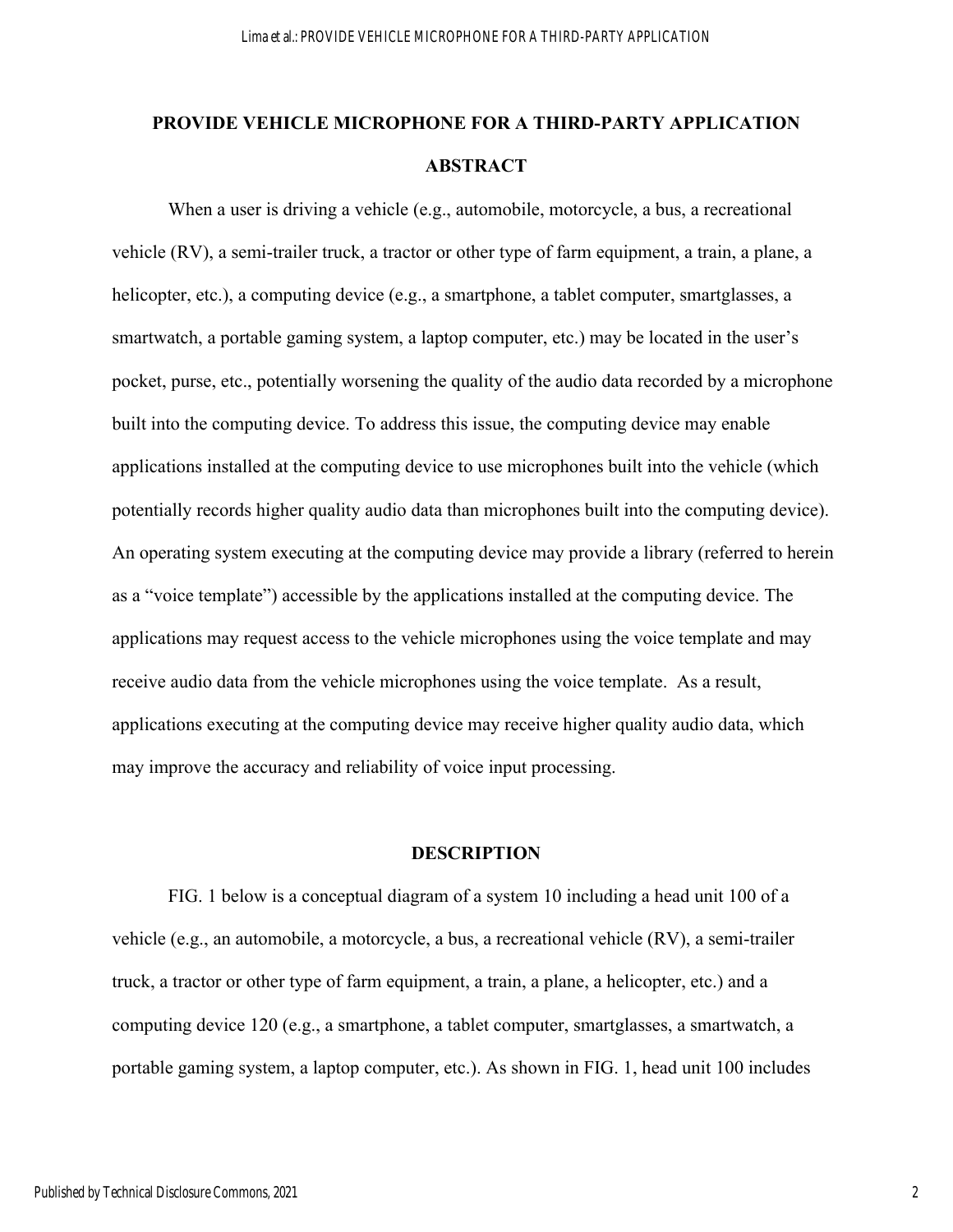# **PROVIDE VEHICLE MICROPHONE FOR A THIRD-PARTY APPLICATION ABSTRACT**

When a user is driving a vehicle (e.g., automobile, motorcycle, a bus, a recreational vehicle (RV), a semi-trailer truck, a tractor or other type of farm equipment, a train, a plane, a helicopter, etc.), a computing device (e.g., a smartphone, a tablet computer, smartglasses, a smartwatch, a portable gaming system, a laptop computer, etc.) may be located in the user's pocket, purse, etc., potentially worsening the quality of the audio data recorded by a microphone built into the computing device. To address this issue, the computing device may enable applications installed at the computing device to use microphones built into the vehicle (which potentially records higher quality audio data than microphones built into the computing device). An operating system executing at the computing device may provide a library (referred to herein as a "voice template") accessible by the applications installed at the computing device. The applications may request access to the vehicle microphones using the voice template and may receive audio data from the vehicle microphones using the voice template. As a result, applications executing at the computing device may receive higher quality audio data, which may improve the accuracy and reliability of voice input processing.

### **DESCRIPTION**

FIG. 1 below is a conceptual diagram of a system 10 including a head unit 100 of a vehicle (e.g., an automobile, a motorcycle, a bus, a recreational vehicle (RV), a semi-trailer truck, a tractor or other type of farm equipment, a train, a plane, a helicopter, etc.) and a computing device 120 (e.g., a smartphone, a tablet computer, smartglasses, a smartwatch, a portable gaming system, a laptop computer, etc.). As shown in FIG. 1, head unit 100 includes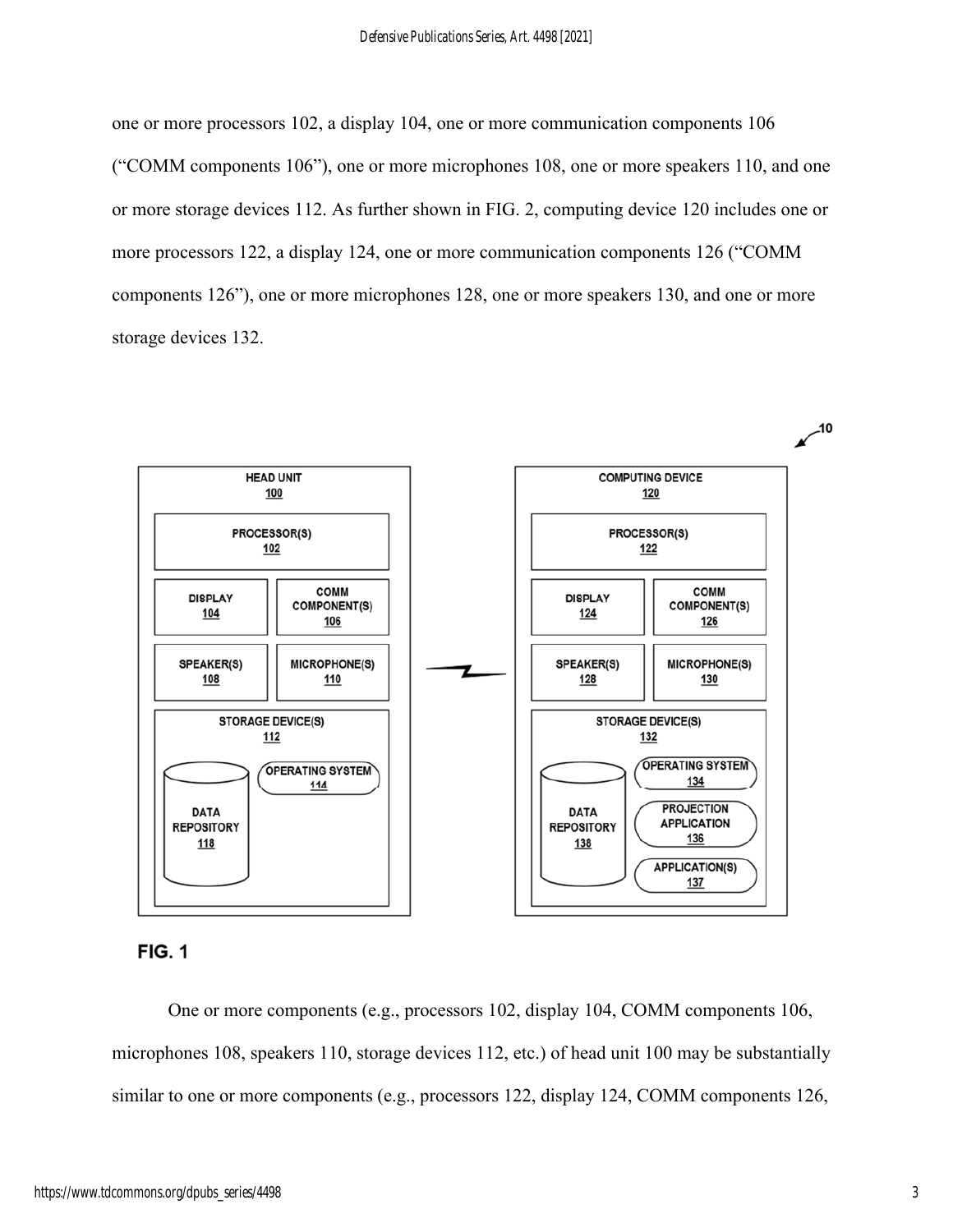one or more processors 102, a display 104, one or more communication components 106 ("COMM components 106"), one or more microphones 108, one or more speakers 110, and one or more storage devices 112. As further shown in FIG. 2, computing device 120 includes one or more processors 122, a display 124, one or more communication components 126 ("COMM components 126"), one or more microphones 128, one or more speakers 130, and one or more storage devices 132.





One or more components (e.g., processors 102, display 104, COMM components 106, microphones 108, speakers 110, storage devices 112, etc.) of head unit 100 may be substantially similar to one or more components (e.g., processors 122, display 124, COMM components 126,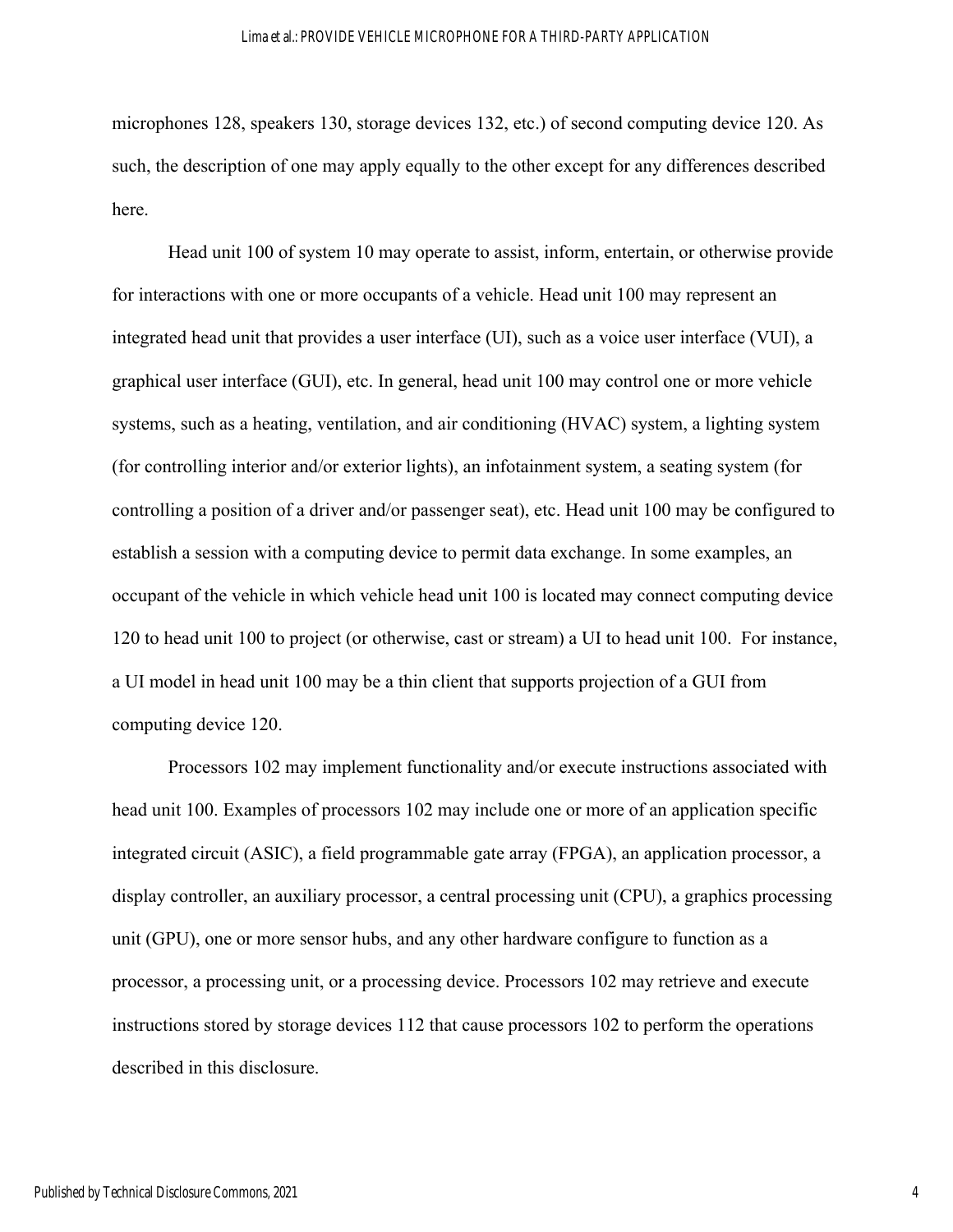#### Lima et al.: PROVIDE VEHICLE MICROPHONE FOR A THIRD-PARTY APPLICATION

microphones 128, speakers 130, storage devices 132, etc.) of second computing device 120. As such, the description of one may apply equally to the other except for any differences described here.

Head unit 100 of system 10 may operate to assist, inform, entertain, or otherwise provide for interactions with one or more occupants of a vehicle. Head unit 100 may represent an integrated head unit that provides a user interface (UI), such as a voice user interface (VUI), a graphical user interface (GUI), etc. In general, head unit 100 may control one or more vehicle systems, such as a heating, ventilation, and air conditioning (HVAC) system, a lighting system (for controlling interior and/or exterior lights), an infotainment system, a seating system (for controlling a position of a driver and/or passenger seat), etc. Head unit 100 may be configured to establish a session with a computing device to permit data exchange. In some examples, an occupant of the vehicle in which vehicle head unit 100 is located may connect computing device 120 to head unit 100 to project (or otherwise, cast or stream) a UI to head unit 100. For instance, a UI model in head unit 100 may be a thin client that supports projection of a GUI from computing device 120.

Processors 102 may implement functionality and/or execute instructions associated with head unit 100. Examples of processors 102 may include one or more of an application specific integrated circuit (ASIC), a field programmable gate array (FPGA), an application processor, a display controller, an auxiliary processor, a central processing unit (CPU), a graphics processing unit (GPU), one or more sensor hubs, and any other hardware configure to function as a processor, a processing unit, or a processing device. Processors 102 may retrieve and execute instructions stored by storage devices 112 that cause processors 102 to perform the operations described in this disclosure.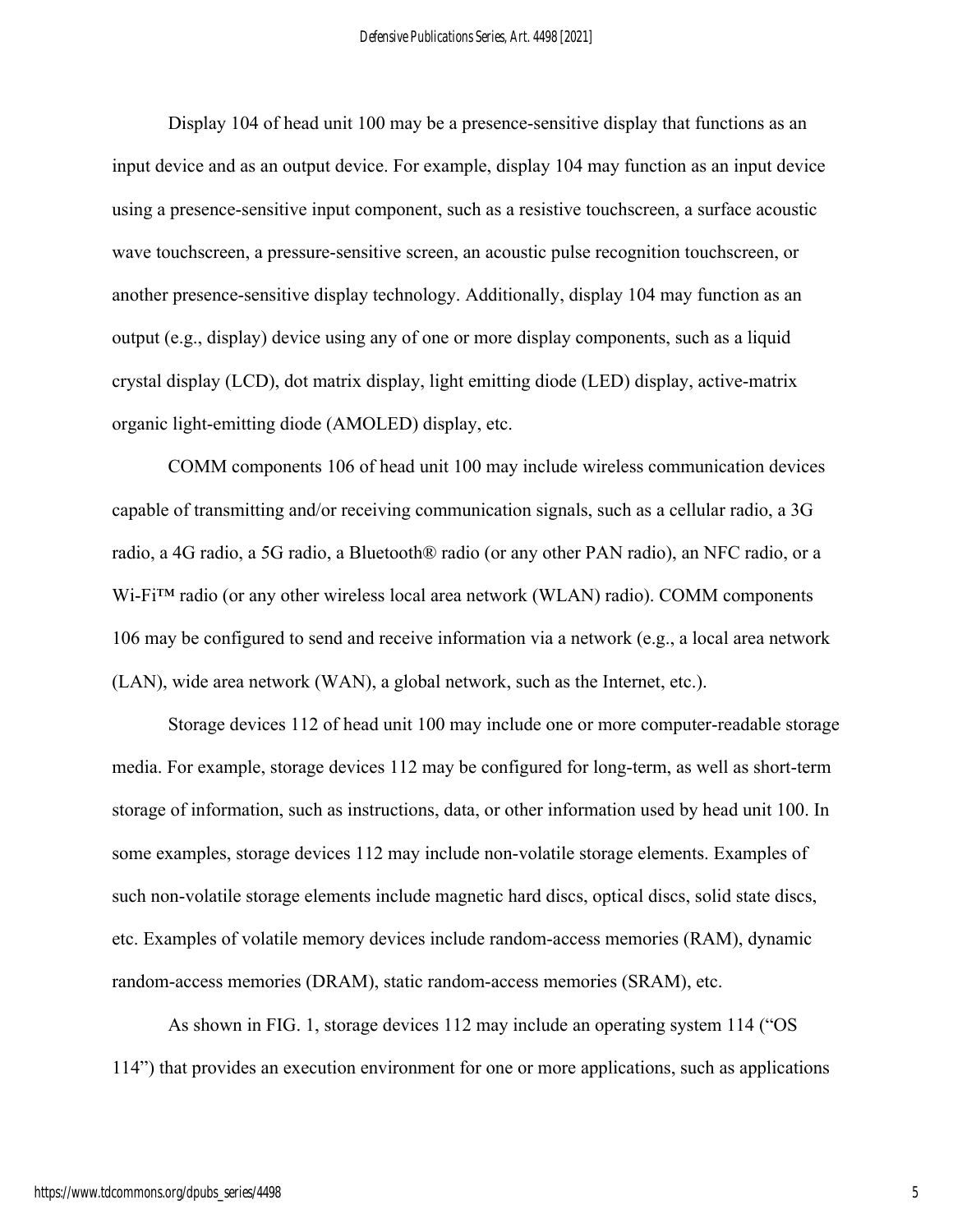Display 104 of head unit 100 may be a presence-sensitive display that functions as an input device and as an output device. For example, display 104 may function as an input device using a presence-sensitive input component, such as a resistive touchscreen, a surface acoustic wave touchscreen, a pressure-sensitive screen, an acoustic pulse recognition touchscreen, or another presence-sensitive display technology. Additionally, display 104 may function as an output (e.g., display) device using any of one or more display components, such as a liquid crystal display (LCD), dot matrix display, light emitting diode (LED) display, active-matrix organic light-emitting diode (AMOLED) display, etc.

COMM components 106 of head unit 100 may include wireless communication devices capable of transmitting and/or receiving communication signals, such as a cellular radio, a 3G radio, a 4G radio, a 5G radio, a Bluetooth® radio (or any other PAN radio), an NFC radio, or a Wi-Fi™ radio (or any other wireless local area network (WLAN) radio). COMM components 106 may be configured to send and receive information via a network (e.g., a local area network (LAN), wide area network (WAN), a global network, such as the Internet, etc.).

Storage devices 112 of head unit 100 may include one or more computer-readable storage media. For example, storage devices 112 may be configured for long-term, as well as short-term storage of information, such as instructions, data, or other information used by head unit 100. In some examples, storage devices 112 may include non-volatile storage elements. Examples of such non-volatile storage elements include magnetic hard discs, optical discs, solid state discs, etc. Examples of volatile memory devices include random-access memories (RAM), dynamic random-access memories (DRAM), static random-access memories (SRAM), etc.

As shown in FIG. 1, storage devices 112 may include an operating system 114 ("OS 114") that provides an execution environment for one or more applications, such as applications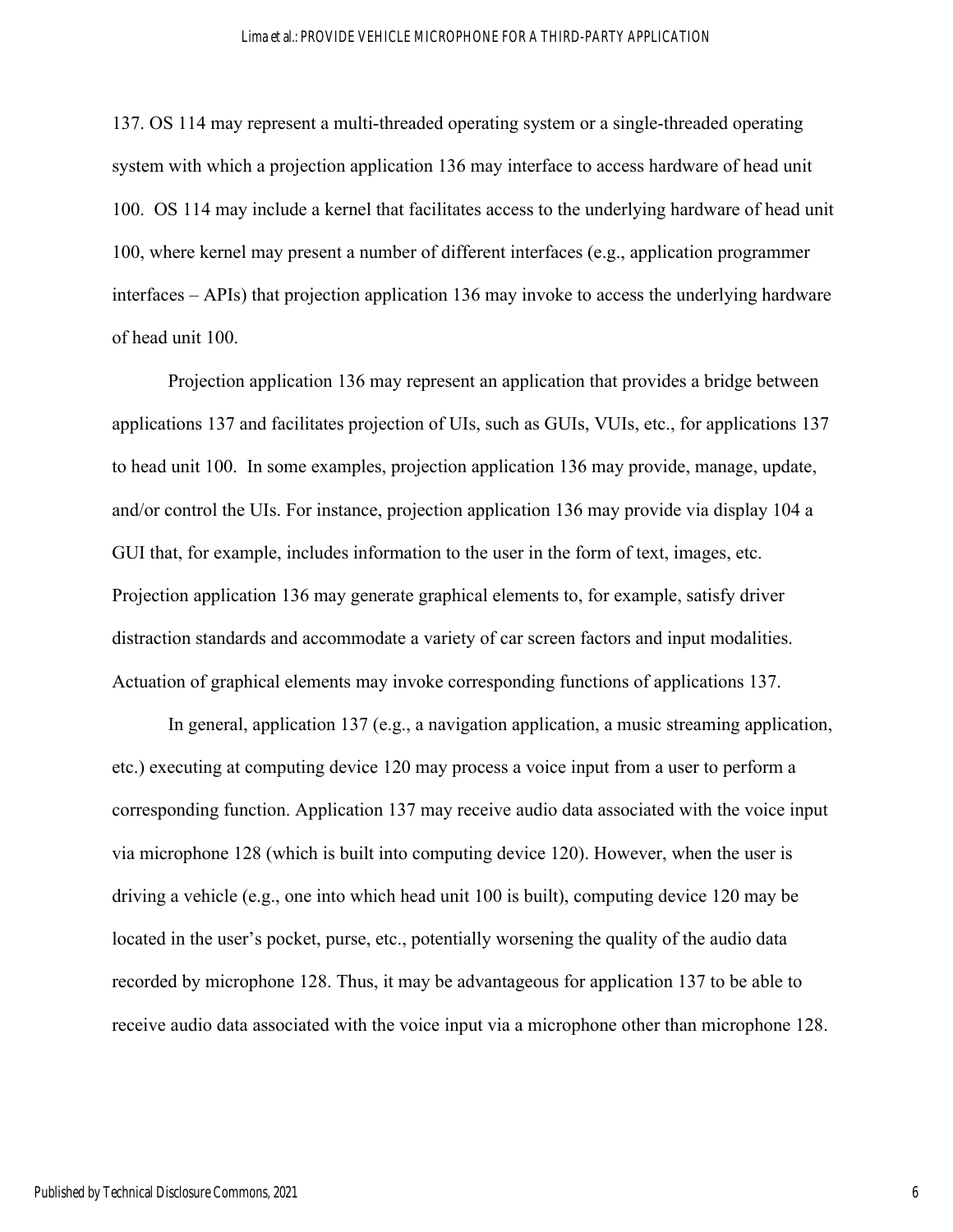137. OS 114 may represent a multi-threaded operating system or a single-threaded operating system with which a projection application 136 may interface to access hardware of head unit 100. OS 114 may include a kernel that facilitates access to the underlying hardware of head unit 100, where kernel may present a number of different interfaces (e.g., application programmer interfaces – APIs) that projection application 136 may invoke to access the underlying hardware of head unit 100.

Projection application 136 may represent an application that provides a bridge between applications 137 and facilitates projection of UIs, such as GUIs, VUIs, etc., for applications 137 to head unit 100. In some examples, projection application 136 may provide, manage, update, and/or control the UIs. For instance, projection application 136 may provide via display 104 a GUI that, for example, includes information to the user in the form of text, images, etc. Projection application 136 may generate graphical elements to, for example, satisfy driver distraction standards and accommodate a variety of car screen factors and input modalities. Actuation of graphical elements may invoke corresponding functions of applications 137.

In general, application 137 (e.g., a navigation application, a music streaming application, etc.) executing at computing device 120 may process a voice input from a user to perform a corresponding function. Application 137 may receive audio data associated with the voice input via microphone 128 (which is built into computing device 120). However, when the user is driving a vehicle (e.g., one into which head unit 100 is built), computing device 120 may be located in the user's pocket, purse, etc., potentially worsening the quality of the audio data recorded by microphone 128. Thus, it may be advantageous for application 137 to be able to receive audio data associated with the voice input via a microphone other than microphone 128.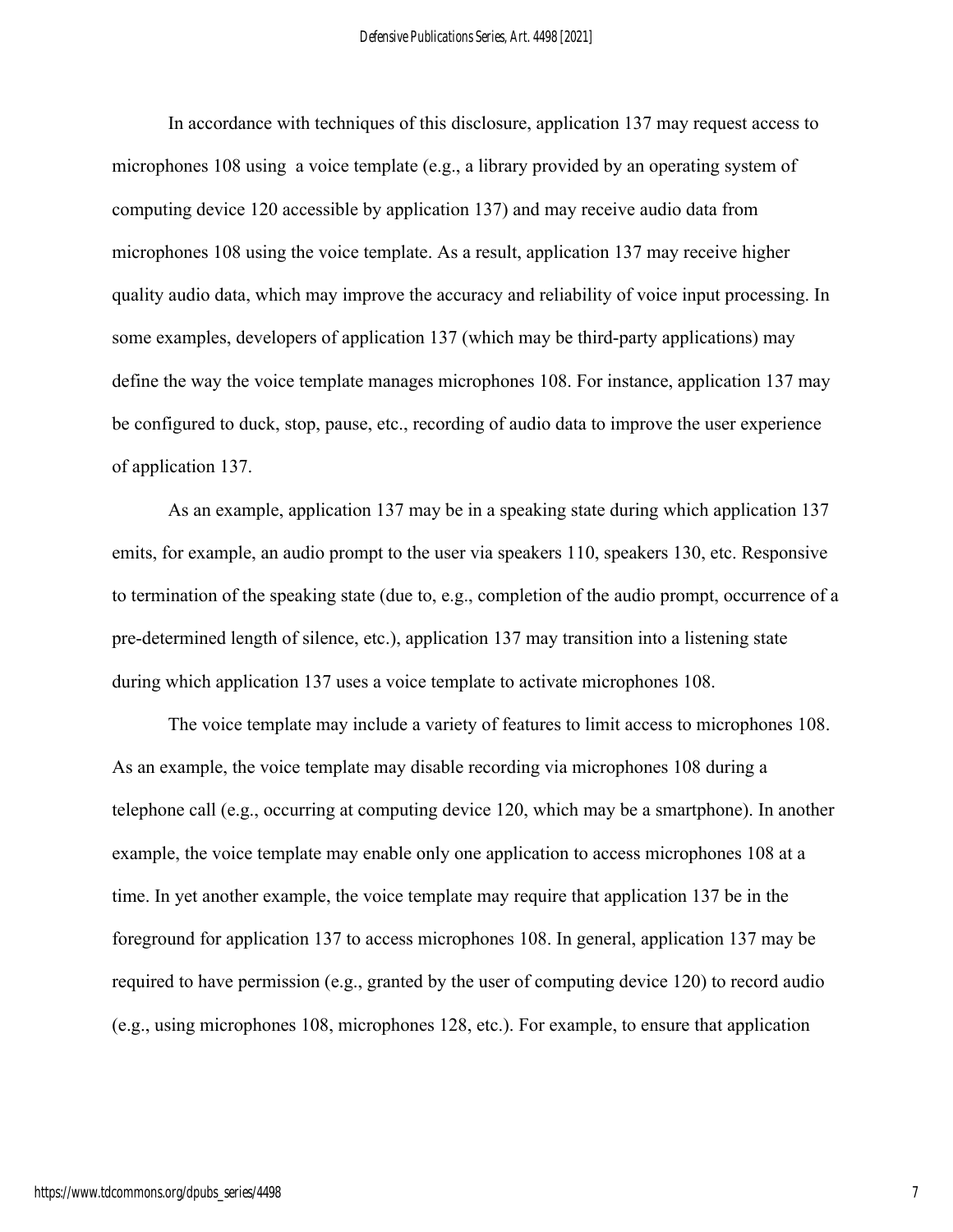In accordance with techniques of this disclosure, application 137 may request access to microphones 108 using a voice template (e.g., a library provided by an operating system of computing device 120 accessible by application 137) and may receive audio data from microphones 108 using the voice template. As a result, application 137 may receive higher quality audio data, which may improve the accuracy and reliability of voice input processing. In some examples, developers of application 137 (which may be third-party applications) may define the way the voice template manages microphones 108. For instance, application 137 may be configured to duck, stop, pause, etc., recording of audio data to improve the user experience of application 137.

As an example, application 137 may be in a speaking state during which application 137 emits, for example, an audio prompt to the user via speakers 110, speakers 130, etc. Responsive to termination of the speaking state (due to, e.g., completion of the audio prompt, occurrence of a pre-determined length of silence, etc.), application 137 may transition into a listening state during which application 137 uses a voice template to activate microphones 108.

The voice template may include a variety of features to limit access to microphones 108. As an example, the voice template may disable recording via microphones 108 during a telephone call (e.g., occurring at computing device 120, which may be a smartphone). In another example, the voice template may enable only one application to access microphones 108 at a time. In yet another example, the voice template may require that application 137 be in the foreground for application 137 to access microphones 108. In general, application 137 may be required to have permission (e.g., granted by the user of computing device 120) to record audio (e.g., using microphones 108, microphones 128, etc.). For example, to ensure that application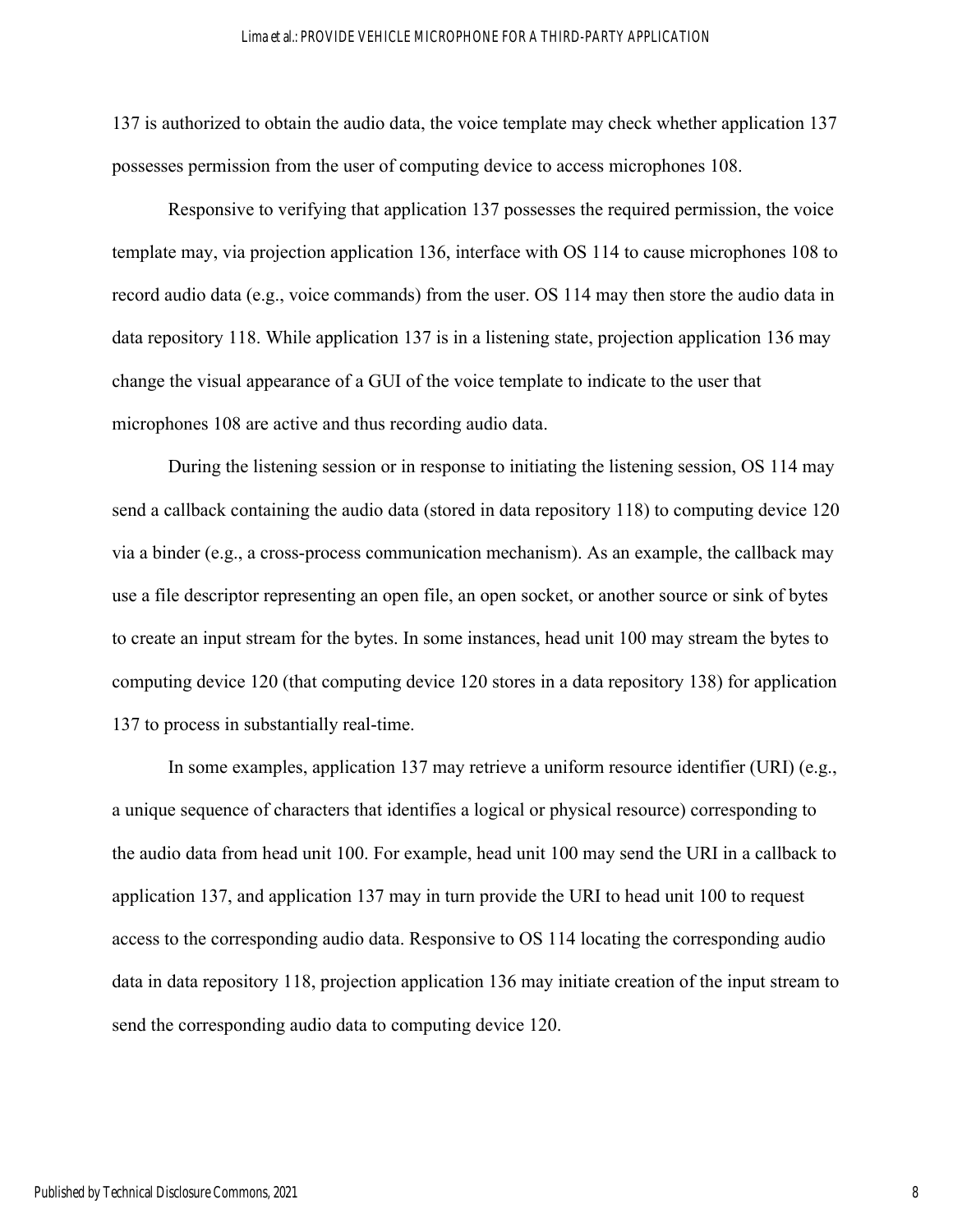#### Lima et al.: PROVIDE VEHICLE MICROPHONE FOR A THIRD-PARTY APPLICATION

137 is authorized to obtain the audio data, the voice template may check whether application 137 possesses permission from the user of computing device to access microphones 108.

Responsive to verifying that application 137 possesses the required permission, the voice template may, via projection application 136, interface with OS 114 to cause microphones 108 to record audio data (e.g., voice commands) from the user. OS 114 may then store the audio data in data repository 118. While application 137 is in a listening state, projection application 136 may change the visual appearance of a GUI of the voice template to indicate to the user that microphones 108 are active and thus recording audio data.

During the listening session or in response to initiating the listening session, OS 114 may send a callback containing the audio data (stored in data repository 118) to computing device 120 via a binder (e.g., a cross-process communication mechanism). As an example, the callback may use a file descriptor representing an open file, an open socket, or another source or sink of bytes to create an input stream for the bytes. In some instances, head unit 100 may stream the bytes to computing device 120 (that computing device 120 stores in a data repository 138) for application 137 to process in substantially real-time.

In some examples, application 137 may retrieve a uniform resource identifier (URI) (e.g., a unique sequence of characters that identifies a logical or physical resource) corresponding to the audio data from head unit 100. For example, head unit 100 may send the URI in a callback to application 137, and application 137 may in turn provide the URI to head unit 100 to request access to the corresponding audio data. Responsive to OS 114 locating the corresponding audio data in data repository 118, projection application 136 may initiate creation of the input stream to send the corresponding audio data to computing device 120.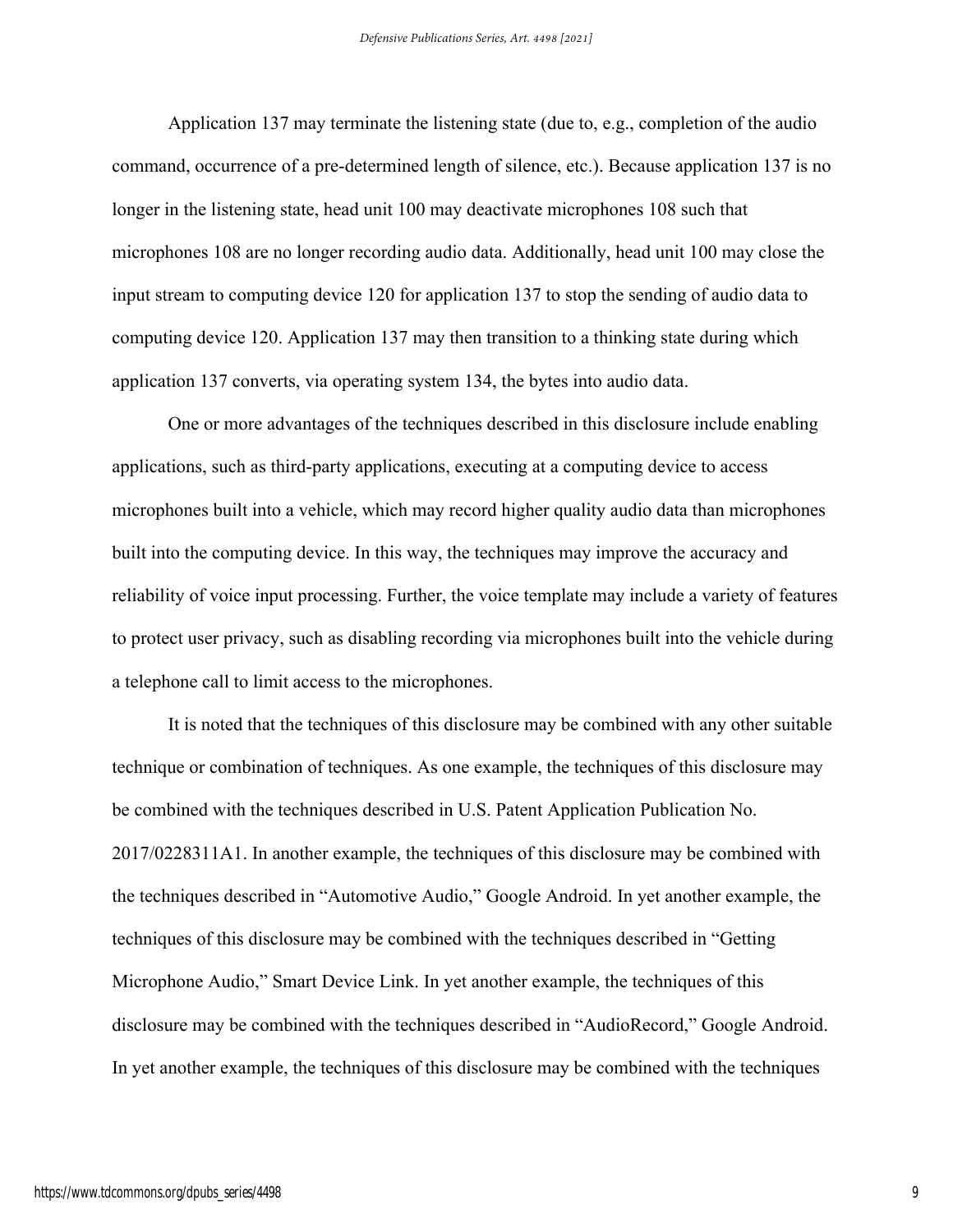Application 137 may terminate the listening state (due to, e.g., completion of the audio command, occurrence of a pre-determined length of silence, etc.). Because application 137 is no longer in the listening state, head unit 100 may deactivate microphones 108 such that microphones 108 are no longer recording audio data. Additionally, head unit 100 may close the input stream to computing device 120 for application 137 to stop the sending of audio data to computing device 120. Application 137 may then transition to a thinking state during which application 137 converts, via operating system 134, the bytes into audio data.

One or more advantages of the techniques described in this disclosure include enabling applications, such as third-party applications, executing at a computing device to access microphones built into a vehicle, which may record higher quality audio data than microphones built into the computing device. In this way, the techniques may improve the accuracy and reliability of voice input processing. Further, the voice template may include a variety of features to protect user privacy, such as disabling recording via microphones built into the vehicle during a telephone call to limit access to the microphones.

It is noted that the techniques of this disclosure may be combined with any other suitable technique or combination of techniques. As one example, the techniques of this disclosure may be combined with the techniques described in U.S. Patent Application Publication No. 2017/0228311A1. In another example, the techniques of this disclosure may be combined with the techniques described in "Automotive Audio," Google Android. In yet another example, the techniques of this disclosure may be combined with the techniques described in "Getting Microphone Audio," Smart Device Link. In yet another example, the techniques of this disclosure may be combined with the techniques described in "AudioRecord," Google Android. In yet another example, the techniques of this disclosure may be combined with the techniques

9